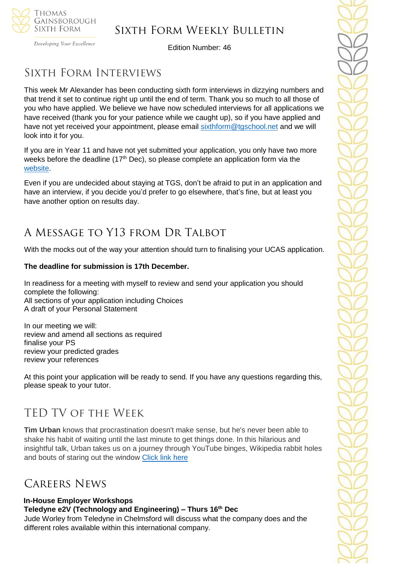

Developing Your Excellence

Edition Number: 46

## Sixth Form Interviews

This week Mr Alexander has been conducting sixth form interviews in dizzying numbers and that trend it set to continue right up until the end of term. Thank you so much to all those of you who have applied. We believe we have now scheduled interviews for all applications we have received (thank you for your patience while we caught up), so if you have applied and have not yet received your appointment, please email [sixthform@tgschool.net](mailto:sixthform@tgschool.net) and we will look into it for you.

If you are in Year 11 and have not yet submitted your application, you only have two more weeks before the deadline  $(17<sup>th</sup>$  Dec), so please complete an application form via the [website.](https://tgschool.net/sixth-form/sixth-form-admissions)

Even if you are undecided about staying at TGS, don't be afraid to put in an application and have an interview, if you decide you'd prefer to go elsewhere, that's fine, but at least you have another option on results day.

# A Message to Y13 from Dr Talbot

With the mocks out of the way your attention should turn to finalising your UCAS application.

### **The deadline for submission is 17th December.**

In readiness for a meeting with myself to review and send your application you should complete the following: All sections of your application including Choices A draft of your Personal Statement

In our meeting we will: review and amend all sections as required finalise your PS review your predicted grades review your references

At this point your application will be ready to send. If you have any questions regarding this, please speak to your tutor.

## TED TV of the Week

**Tim Urban** knows that procrastination doesn't make sense, but he's never been able to shake his habit of waiting until the last minute to get things done. In this hilarious and insightful talk, Urban takes us on a journey through YouTube binges, Wikipedia rabbit holes and bouts of staring out the window [Click link here](https://www.ted.com/talks/tim_urban_inside_the_mind_of_a_master_procrastinator)

## Careers News

## **In-House Employer Workshops**

**Teledyne e2V (Technology and Engineering) – Thurs 16th Dec**

Jude Worley from Teledyne in Chelmsford will discuss what the company does and the different roles available within this international company.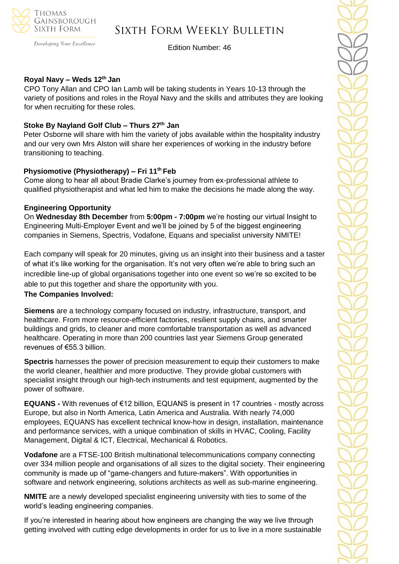

#### Developing Your Excellence

## Sixth Form Weekly Bulletin

Edition Number: 46

#### **Royal Navy – Weds 12th Jan**

CPO Tony Allan and CPO Ian Lamb will be taking students in Years 10-13 through the variety of positions and roles in the Royal Navy and the skills and attributes they are looking for when recruiting for these roles.

#### **Stoke By Nayland Golf Club – Thurs 27th Jan**

Peter Osborne will share with him the variety of jobs available within the hospitality industry and our very own Mrs Alston will share her experiences of working in the industry before transitioning to teaching.

#### **Physiomotive (Physiotherapy) – Fri 11th Feb**

Come along to hear all about Bradie Clarke's journey from ex-professional athlete to qualified physiotherapist and what led him to make the decisions he made along the way.

#### **Engineering Opportunity**

On **Wednesday 8th December** from **5:00pm - 7:00pm** we're hosting our virtual Insight to Engineering Multi-Employer Event and we'll be joined by 5 of the biggest engineering companies in Siemens, Spectris, Vodafone, Equans and specialist university NMITE!

Each company will speak for 20 minutes, giving us an insight into their business and a taster of what it's like working for the organisation. It's not very often we're able to bring such an incredible line-up of global organisations together into one event so we're so excited to be able to put this together and share the opportunity with you.

#### **The Companies Involved:**

**Siemens** are a technology company focused on industry, infrastructure, transport, and healthcare. From more resource-efficient factories, resilient supply chains, and smarter buildings and grids, to cleaner and more comfortable transportation as well as advanced healthcare. Operating in more than 200 countries last year Siemens Group generated revenues of €55.3 billion.

**Spectris** harnesses the power of precision measurement to equip their customers to make the world cleaner, healthier and more productive. They provide global customers with specialist insight through our high-tech instruments and test equipment, augmented by the power of software.

**EQUANS -** With revenues of €12 billion, EQUANS is present in 17 countries - mostly across Europe, but also in North America, Latin America and Australia. With nearly 74,000 employees, EQUANS has excellent technical know-how in design, installation, maintenance and performance services, with a unique combination of skills in HVAC, Cooling, Facility Management, Digital & ICT, Electrical, Mechanical & Robotics.

**Vodafone** are a FTSE-100 British multinational telecommunications company connecting over 334 million people and organisations of all sizes to the digital society. Their engineering community is made up of "game-changers and future-makers". With opportunities in software and network engineering, solutions architects as well as sub-marine engineering.

**NMITE** are a newly developed specialist engineering university with ties to some of the world's leading engineering companies.

If you're interested in hearing about how engineers are changing the way we live through getting involved with cutting edge developments in order for us to live in a more sustainable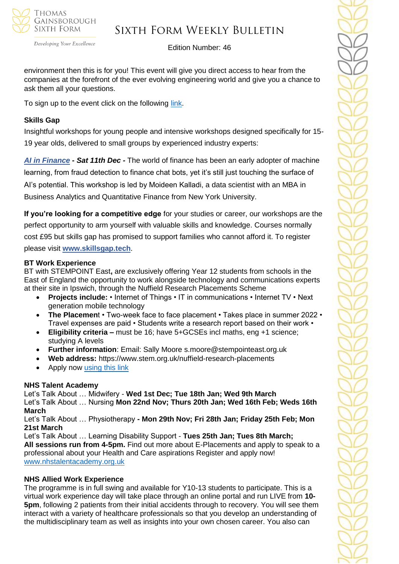

Developing Your Excellence

### Edition Number: 46

environment then this is for you! This event will give you direct access to hear from the companies at the forefront of the ever evolving engineering world and give you a chance to ask them all your questions.

To sign up to the event click on the following [link.](https://www.surveymonkey.co.uk/r/YP-Engineering)

## **Skills Gap**

Insightful workshops for young people and intensive workshops designed specifically for 15- 19 year olds, delivered to small groups by experienced industry experts:

*[AI in Finance](https://sportlivedlimited.cmail19.com/t/r-l-trthxut-bzsdtjkt-y/) - Sat 11th Dec -* The world of finance has been an early adopter of machine learning, from fraud detection to finance chat bots, yet it's still just touching the surface of AI's potential. This workshop is led by Moideen Kalladi, a data scientist with an MBA in Business Analytics and Quantitative Finance from New York University.

**If you're looking for a competitive edge** for your studies or career, our workshops are the perfect opportunity to arm yourself with valuable skills and knowledge. Courses normally cost £95 but skills gap has promised to support families who cannot afford it. To register please visit **[www.skillsgap.tech](http://www.skillsgap.tech/)**.

## **BT Work Experience**

BT with STEMPOINT East**,** are exclusively offering Year 12 students from schools in the East of England the opportunity to work alongside technology and communications experts at their site in Ipswich, through the Nuffield Research Placements Scheme

- **Projects include:** Internet of Things IT in communications Internet TV Next generation mobile technology
- **The Placemen**t Two-week face to face placement Takes place in summer 2022 Travel expenses are paid • Students write a research report based on their work •
- **Eligibility criteria –** must be 16; have 5+GCSEs incl maths, eng +1 science; studying A levels
- **Further information**: Email: Sally Moore s.moore@stempointeast.org.uk
- **Web address:** https://www.stem.org.uk/nuffield-research-placements
- Apply now [using this link](http://www.nuffieldresearchplacements.org/)

## **NHS Talent Academy**

Let's Talk About … Midwifery - **Wed 1st Dec; Tue 18th Jan; Wed 9th March**  Let's Talk About … Nursing **Mon 22nd Nov; Thurs 20th Jan; Wed 16th Feb; Weds 16th March**

Let's Talk About … Physiotherapy **- Mon 29th Nov; Fri 28th Jan; Friday 25th Feb; Mon 21st March**

Let's Talk About … Learning Disability Support - **Tues 25th Jan; Tues 8th March; All sessions run from 4-5pm.** Find out more about E-Placements and apply to speak to a professional about your Health and Care aspirations Register and apply now! [www.nhstalentacademy.org.uk](file://///tgs-sr-data/Staff%20Shared-N/Sixth%20Form/Admin/Weekly%20Bulletin/www.nhstalentacademy.org.uk)

## **NHS Allied Work Experience**

The programme is in full swing and available for Y10-13 students to participate. This is a virtual work experience day will take place through an online portal and run LIVE from **10- 5pm**, following 2 patients from their initial accidents through to recovery. You will see them interact with a variety of healthcare professionals so that you develop an understanding of the multidisciplinary team as well as insights into your own chosen career. You also can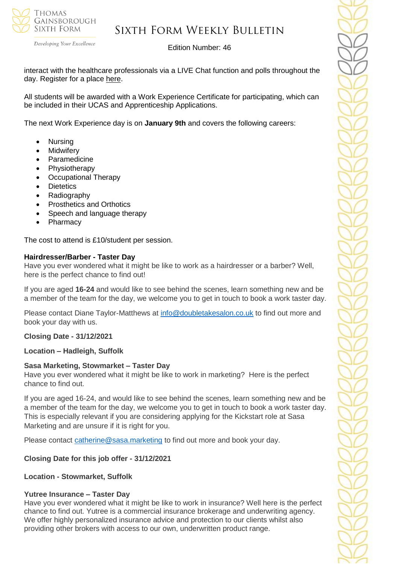

Developing Your Excellence

### Edition Number: 46

interact with the healthcare professionals via a LIVE Chat function and polls throughout the day. Register for a place [here.](https://alliedhealthmentor.org/product/live-virtual-work-experience-programme/)

All students will be awarded with a Work Experience Certificate for participating, which can be included in their UCAS and Apprenticeship Applications.

The next Work Experience day is on **January 9th** and covers the following careers:

- Nursing
- **Midwifery**
- **Paramedicine**
- Physiotherapy
- Occupational Therapy
- **Dietetics**
- **Radiography**
- Prosthetics and Orthotics
- Speech and language therapy
- Pharmacy

The cost to attend is £10/student per session.

#### **Hairdresser/Barber - Taster Day**

Have you ever wondered what it might be like to work as a hairdresser or a barber? Well, here is the perfect chance to find out!

If you are aged **16-24** and would like to see behind the scenes, learn something new and be a member of the team for the day, we welcome you to get in touch to book a work taster day.

Please contact Diane Taylor-Matthews at [info@doubletakesalon.co.uk](mailto:info@doubletakesalon.co.uk) to find out more and book your day with us.

#### **Closing Date - 31/12/2021**

#### **Location – Hadleigh, Suffolk**

### **Sasa Marketing, Stowmarket – Taster Day**

Have you ever wondered what it might be like to work in marketing? Here is the perfect chance to find out.

If you are aged 16-24, and would like to see behind the scenes, learn something new and be a member of the team for the day, we welcome you to get in touch to book a work taster day. This is especially relevant if you are considering applying for the Kickstart role at Sasa Marketing and are unsure if it is right for you.

Please contact [catherine@sasa.marketing](mailto:catherine@sasa.marketing) to find out more and book your day.

#### **Closing Date for this job offer - 31/12/2021**

#### **Location - Stowmarket, Suffolk**

#### **Yutree Insurance – Taster Day**

Have you ever wondered what it might be like to work in insurance? Well here is the perfect chance to find out. Yutree is a commercial insurance brokerage and underwriting agency. We offer highly personalized insurance advice and protection to our clients whilst also providing other brokers with access to our own, underwritten product range.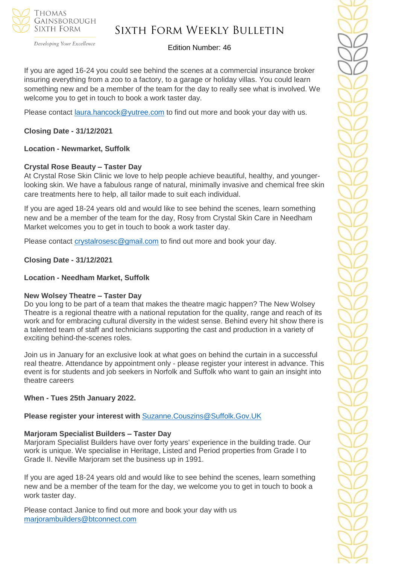

Developing Your Excellence

## Sixth Form Weekly Bulletin

### Edition Number: 46

If you are aged 16-24 you could see behind the scenes at a commercial insurance broker insuring everything from a zoo to a factory, to a garage or holiday villas. You could learn something new and be a member of the team for the day to really see what is involved. We welcome you to get in touch to book a work taster day.

Please contact [laura.hancock@yutree.com](mailto:laura.hancock@yutree.com) to find out more and book your day with us.

## **Closing Date - 31/12/2021**

### **Location - Newmarket, Suffolk**

### **Crystal Rose Beauty – Taster Day**

At Crystal Rose Skin Clinic we love to help people achieve beautiful, healthy, and youngerlooking skin. We have a fabulous range of natural, minimally invasive and chemical free skin care treatments here to help, all tailor made to suit each individual.

If you are aged 18-24 years old and would like to see behind the scenes, learn something new and be a member of the team for the day, Rosy from Crystal Skin Care in Needham Market welcomes you to get in touch to book a work taster day.

Please contact [crystalrosesc@gmail.com](mailto:crystalrosesc@gmail.com) to find out more and book your day.

**Closing Date - 31/12/2021**

### **Location - Needham Market, Suffolk**

#### **New Wolsey Theatre – Taster Day**

Do you long to be part of a team that makes the theatre magic happen? The New Wolsey Theatre is a regional theatre with a national reputation for the quality, range and reach of its work and for embracing cultural diversity in the widest sense. Behind every hit show there is a talented team of staff and technicians supporting the cast and production in a variety of exciting behind-the-scenes roles.

Join us in January for an exclusive look at what goes on behind the curtain in a successful real theatre. Attendance by appointment only - please register your interest in advance. This event is for students and job seekers in Norfolk and Suffolk who want to gain an insight into theatre careers

#### **When - Tues 25th January 2022.**

**Please register your interest with** [Suzanne.Couszins@Suffolk.Gov.UK](mailto:Suzanne.Couszins@Suffolk.Gov.UK)

#### **Marjoram Specialist Builders – Taster Day**

Marjoram Specialist Builders have over forty years' experience in the building trade. Our work is unique. We specialise in Heritage, Listed and Period properties from Grade I to Grade II. Neville Marjoram set the business up in 1991.

If you are aged 18-24 years old and would like to see behind the scenes, learn something new and be a member of the team for the day, we welcome you to get in touch to book a work taster day.

Please contact Janice to find out more and book your day with us [marjorambuilders@btconnect.com](mailto:marjorambuilders@btconnect.com)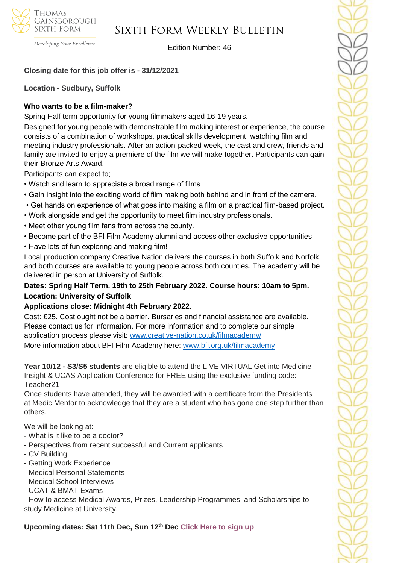

Edition Number: 46

## **Closing date for this job offer is - 31/12/2021**

**Location - Sudbury, Suffolk**

Developing Your Excellence

## **Who wants to be a film-maker?**

Spring Half term opportunity for young filmmakers aged 16-19 years.

Designed for young people with demonstrable film making interest or experience, the course consists of a combination of workshops, practical skills development, watching film and meeting industry professionals. After an action-packed week, the cast and crew, friends and family are invited to enjoy a premiere of the film we will make together. Participants can gain their Bronze Arts Award.

Participants can expect to;

- Watch and learn to appreciate a broad range of films.
- Gain insight into the exciting world of film making both behind and in front of the camera.
- Get hands on experience of what goes into making a film on a practical film-based project.
- Work alongside and get the opportunity to meet film industry professionals.
- Meet other young film fans from across the county.
- Become part of the BFI Film Academy alumni and access other exclusive opportunities.
- Have lots of fun exploring and making film!

Local production company Creative Nation delivers the courses in both Suffolk and Norfolk and both courses are available to young people across both counties. The academy will be delivered in person at University of Suffolk.

## **Dates: Spring Half Term. 19th to 25th February 2022. Course hours: 10am to 5pm. Location: University of Suffolk**

## **Applications close: Midnight 4th February 2022.**

Cost: £25. Cost ought not be a barrier. Bursaries and financial assistance are available. Please contact us for information. For more information and to complete our simple application process please visit: [www.creative-nation.co.uk/filmacademy/](file://///tgs-sr-data/Staff%20Shared/Sixth%20Form/Admin/Weekly%20Bulletin/www.creative-nation.co.uk/filmacademy/) More information about BFI Film Academy here: [www.bfi.org.uk/filmacademy](http://www.bfi.org.uk/filmacademy)

**Year 10/12 - S3/S5 students** are eligible to attend the LIVE VIRTUAL Get into Medicine Insight & UCAS Application Conference for FREE using the exclusive funding code: Teacher21

Once students have attended, they will be awarded with a certificate from the Presidents at Medic Mentor to acknowledge that they are a student who has gone one step further than others.

We will be looking at:

- What is it like to be a doctor?
- Perspectives from recent successful and Current applicants
- CV Building
- Getting Work Experience
- Medical Personal Statements
- Medical School Interviews
- UCAT & BMAT Exams

- How to access Medical Awards, Prizes, Leadership Programmes, and Scholarships to study Medicine at University.

**Upcoming dates: Sat 11th Dec, Sun 12th Dec [Click Here to sign up](https://medicmentor.co.uk/medicine-national-healthcare-weekend/)**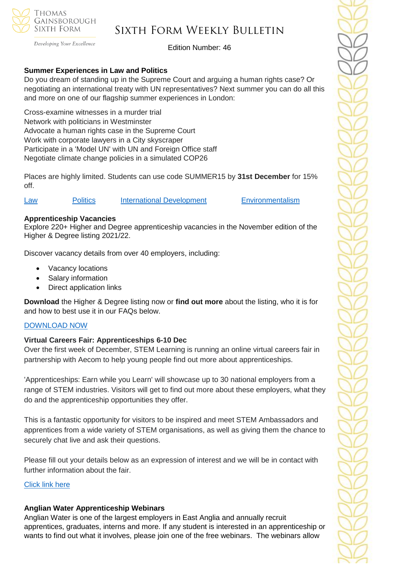

Developing Your Excellence

Edition Number: 46

## **Summer Experiences in Law and Politics**

Do you dream of standing up in the Supreme Court and arguing a human rights case? Or negotiating an international treaty with UN representatives? Next summer you can do all this and more on one of our flagship summer experiences in London:

Cross-examine witnesses in a murder trial Network with politicians in Westminster Advocate a human rights case in the Supreme Court Work with corporate lawyers in a City skyscraper Participate in a 'Model UN' with UN and Foreign Office staff Negotiate climate change policies in a simulated COP26

Places are highly limited. Students can use code SUMMER15 by **31st December** for 15% off.

[Law](https://investin.org/products/young-lawyer-summer-experience?utm_source=UK+SCHOOLS+MASTER&utm_campaign=cc614063d5-bankersschoolmar_COPY_01&utm_medium=email&utm_term=0_bfccb03bbd-cc614063d5-137697031&mc_cid=cc614063d5&mc_eid=894e4199ae) [Politics](https://investin.org/products/young-political-leader-summer-experience?utm_source=UK+SCHOOLS+MASTER&utm_campaign=cc614063d5-bankersschoolmar_COPY_01&utm_medium=email&utm_term=0_bfccb03bbd-cc614063d5-137697031&mc_cid=cc614063d5&mc_eid=894e4199ae) [International Development](https://investin.org/products/young-international-development-summer-experience?utm_source=UK+SCHOOLS+MASTER&utm_campaign=cc614063d5-bankersschoolmar_COPY_01&utm_medium=email&utm_term=0_bfccb03bbd-cc614063d5-137697031&mc_cid=cc614063d5&mc_eid=894e4199ae) [Environmentalism](https://investin.org/products/young-environmentalist-summer-experience?utm_source=UK+SCHOOLS+MASTER&utm_campaign=cc614063d5-bankersschoolmar_COPY_01&utm_medium=email&utm_term=0_bfccb03bbd-cc614063d5-137697031&mc_cid=cc614063d5&mc_eid=894e4199ae)

### **Apprenticeship Vacancies**

Explore 220+ Higher and Degree apprenticeship vacancies in the November edition of the Higher & Degree listing 2021/22.

Discover vacancy details from over 40 employers, including:

- Vacancy locations
- Salary information
- Direct application links

**Download** the Higher & Degree listing now or **find out more** about the listing, who it is for and how to best use it in our FAQs below.

## [DOWNLOAD NOW](https://amazingapprenticeships.com/resource/higher-and-degree-listing/)

#### **Virtual Careers Fair: Apprenticeships 6-10 Dec**

Over the first week of December, STEM Learning is running an online virtual careers fair in partnership with Aecom to help young people find out more about apprenticeships.

'Apprenticeships: Earn while you Learn' will showcase up to 30 national employers from a range of STEM industries. Visitors will get to find out more about these employers, what they do and the apprenticeship opportunities they offer.

This is a fantastic opportunity for visitors to be inspired and meet STEM Ambassadors and apprentices from a wide variety of STEM organisations, as well as giving them the chance to securely chat live and ask their questions.

Please fill out your details below as an expression of interest and we will be in contact with further information about the fair.

#### [Click link here](https://docs.google.com/forms/d/e/1FAIpQLSe8yFlZ7xHm5LYMkkvsOvGEis5tpnTMCCpUdqjF7R4celBftQ/viewform)

## **Anglian Water Apprenticeship Webinars**

Anglian Water is one of the largest employers in East Anglia and annually recruit apprentices, graduates, interns and more. If any student is interested in an apprenticeship or wants to find out what it involves, please join one of the free webinars. The webinars allow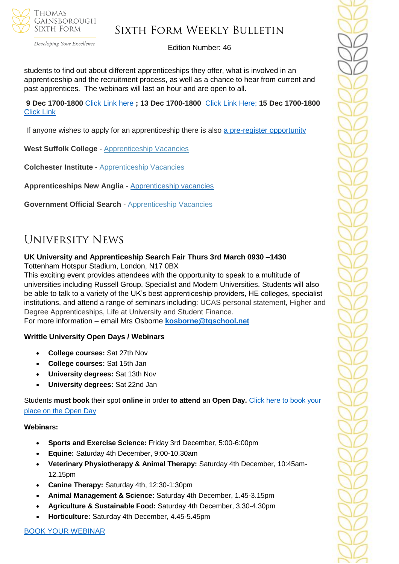

Developing Your Excellence

#### Edition Number: 46

students to find out about different apprenticeships they offer, what is involved in an apprenticeship and the recruitment process, as well as a chance to hear from current and past apprentices. The webinars will last an hour and are open to all.

**9 Dec 1700-1800** [Click Link here](https://teams.microsoft.com/registration/Ah2656Iq1UiBhePca_e4bQ,EN_2oJbTzkiu57ZBev0QSg,pkln6gQwkkGEkBH4NNht9g,gDwy0arFokqp6TYFtiS42g,NlL4PKxLck60sGqtb_uv6g,Dm2pwzAQVEWpyJALjJVH9w?mode=read&tenantId=e7ba1d02-2aa2-48d5-8185-e3dc6bf7b86d) **; 13 Dec 1700-1800** [Click Link Here;](https://teams.microsoft.com/registration/Ah2656Iq1UiBhePca_e4bQ,EN_2oJbTzkiu57ZBev0QSg,pkln6gQwkkGEkBH4NNht9g,IfENcHOFkE2Qq2oI_klpBw,D8L_HEr_nEKP6L3DL_EWPA,PQ1kY4Ul4EeGTzqJOx-XTg?mode=read&tenantId=e7ba1d02-2aa2-48d5-8185-e3dc6bf7b86d) **15 Dec 1700-1800**  [Click Link](https://teams.microsoft.com/registration/Ah2656Iq1UiBhePca_e4bQ,EN_2oJbTzkiu57ZBev0QSg,pkln6gQwkkGEkBH4NNht9g,WlNKHemzMk-Yi_9MKN3wMQ,3rF_2AOAbUWChGli1KsV0w,bWUMqXDVbkCNLw7ra-BVqw?mode=read&tenantId=e7ba1d02-2aa2-48d5-8185-e3dc6bf7b86d)

If anyone wishes to apply for an apprenticeship there is also [a pre-register opportunity](https://awg.wd3.myworkdayjobs.com/PS/job/Cambridgeshire/Register-your-interest-for-an-Apprenticeship-at-Anglian-Water_R14052)

**West Suffolk College** - [Apprenticeship Vacancies](https://apprenticeships.wsc.ac.uk/)

**Colchester Institute** - [Apprenticeship Vacancies](https://www.colchester.ac.uk/apprenticeships/vacancies/)

**Apprenticeships New Anglia** - [Apprenticeship vacancies](https://www.apprenticeshipsnewanglia.co.uk/)

**Government Official Search** - [Apprenticeship Vacancies](https://www.gov.uk/apply-apprenticeship)

## University News

## **UK University and Apprenticeship Search Fair Thurs 3rd March 0930 –1430**

Tottenham Hotspur Stadium, London, N17 0BX

This exciting event provides attendees with the opportunity to speak to a multitude of universities including Russell Group, Specialist and Modern Universities. Students will also be able to talk to a variety of the UK's best apprenticeship providers, HE colleges, specialist institutions, and attend a range of seminars including: UCAS personal statement, Higher and Degree Apprenticeships, Life at University and Student Finance.

For more information – email Mrs Osborne **[kosborne@tgschool.net](mailto:kosborne@tgschool.net)**

#### **Writtle University Open Days / Webinars**

- **College courses:** Sat 27th Nov
- **College courses:** Sat 15th Jan
- **University degrees:** Sat 13th Nov
- **University degrees:** Sat 22nd Jan

Students **must book** their spot **online** in order **to attend** an **Open Day.** [Click here to book your](https://writtle.ac.uk/College-Course-Events)  [place on the Open Day](https://writtle.ac.uk/College-Course-Events)

#### **Webinars:**

- **Sports and Exercise Science:** Friday 3rd December, 5:00-6:00pm
- **Equine:** Saturday 4th December, 9:00-10.30am
- **Veterinary Physiotherapy & Animal Therapy:** Saturday 4th December, 10:45am-12.15pm
- **Canine Therapy:** Saturday 4th, 12:30-1:30pm
- **Animal Management & Science:** Saturday 4th December, 1.45-3.15pm
- **Agriculture & Sustainable Food:** Saturday 4th December, 3.30-4.30pm
- **Horticulture:** Saturday 4th December, 4.45-5.45pm